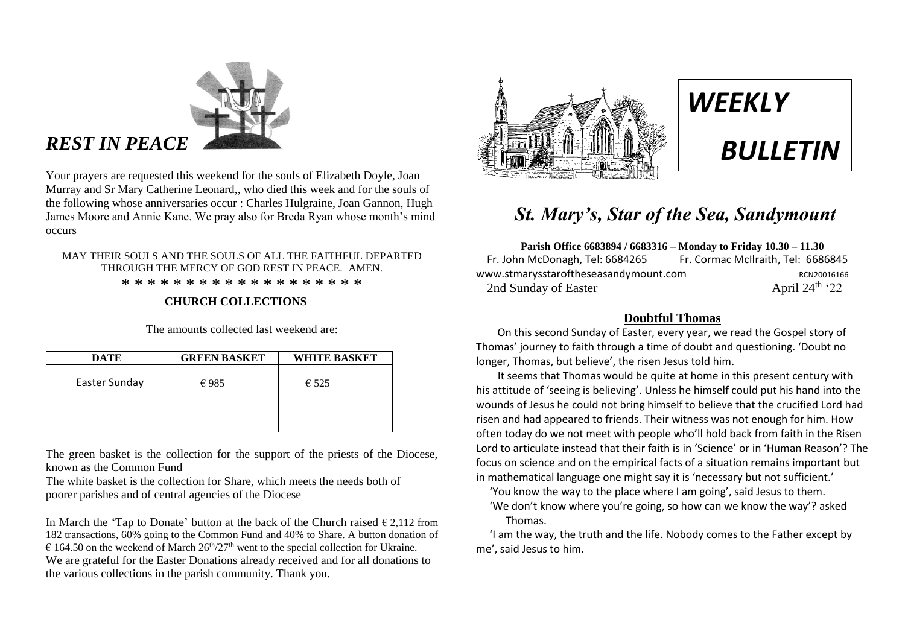

## *REST IN PEACE*

Your prayers are requested this weekend for the souls of Elizabeth Doyle, Joan Murray and Sr Mary Catherine Leonard,, who died this week and for the souls of the following whose anniversaries occur : Charles Hulgraine, Joan Gannon, Hugh James Moore and Annie Kane. We pray also for Breda Ryan whose month's mind occurs

#### MAY THEIR SOULS AND THE SOULS OF ALL THE FAITHFUL DEPARTED THROUGH THE MERCY OF GOD REST IN PEACE. AMEN. \* \* \* \* \* \* \* \* \* \* \* \* \* \* \* \* \* \* \*

#### **CHURCH COLLECTIONS**

The amounts collected last weekend are:

| <b>DATE</b>   | <b>GREEN BASKET</b> | <b>WHITE BASKET</b> |
|---------------|---------------------|---------------------|
| Easter Sunday | $\epsilon$ 985      | $\epsilon$ 525      |
|               |                     |                     |

The green basket is the collection for the support of the priests of the Diocese, known as the Common Fund

The white basket is the collection for Share, which meets the needs both of poorer parishes and of central agencies of the Diocese

In March the 'Tap to Donate' button at the back of the Church raised  $\epsilon$  2,112 from 182 transactions, 60% going to the Common Fund and 40% to Share. A button donation of  $\epsilon$  164.50 on the weekend of March 26<sup>th</sup>/27<sup>th</sup> went to the special collection for Ukraine. We are grateful for the Easter Donations already received and for all donations to the various collections in the parish community. Thank you.





# *BULLETIN*

## *St. Mary's, Star of the Sea, Sandymount*

**Parish Office 6683894 / 6683316 – Monday to Friday 10.30 – 11.30** Fr. John McDonagh, Tel: 6684265 Fr. Cormac McIlraith, Tel: 6686845 www.stmarysstaroftheseasandymount.com RCN20016166<br>2nd Sundav of Easter April 24<sup>th</sup> '22 2nd Sunday of Easter

#### **Doubtful Thomas**

 On this second Sunday of Easter, every year, we read the Gospel story of Thomas' journey to faith through a time of doubt and questioning. 'Doubt no longer, Thomas, but believe', the risen Jesus told him.

 It seems that Thomas would be quite at home in this present century with his attitude of 'seeing is believing'. Unless he himself could put his hand into the wounds of Jesus he could not bring himself to believe that the crucified Lord had risen and had appeared to friends. Their witness was not enough for him. How often today do we not meet with people who'll hold back from faith in the Risen Lord to articulate instead that their faith is in 'Science' or in 'Human Reason'? The focus on science and on the empirical facts of a situation remains important but in mathematical language one might say it is 'necessary but not sufficient.'

- 'You know the way to the place where I am going', said Jesus to them.
- 'We don't know where you're going, so how can we know the way'? asked Thomas.

 'I am the way, the truth and the life. Nobody comes to the Father except by me', said Jesus to him.